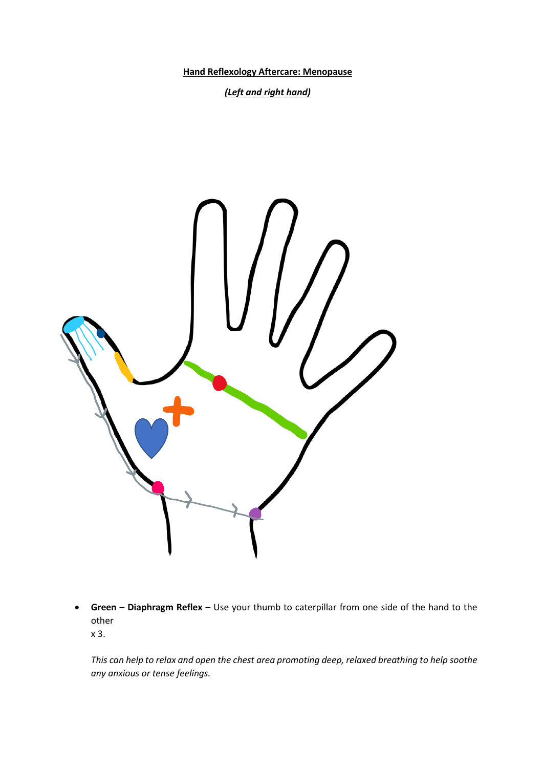**Hand Reflexology Aftercare: Menopause**

*(Left and right hand)*



• **Green – Diaphragm Reflex** – Use your thumb to caterpillar from one side of the hand to the other x 3.

*This can help to relax and open the chest area promoting deep, relaxed breathing to help soothe any anxious or tense feelings.*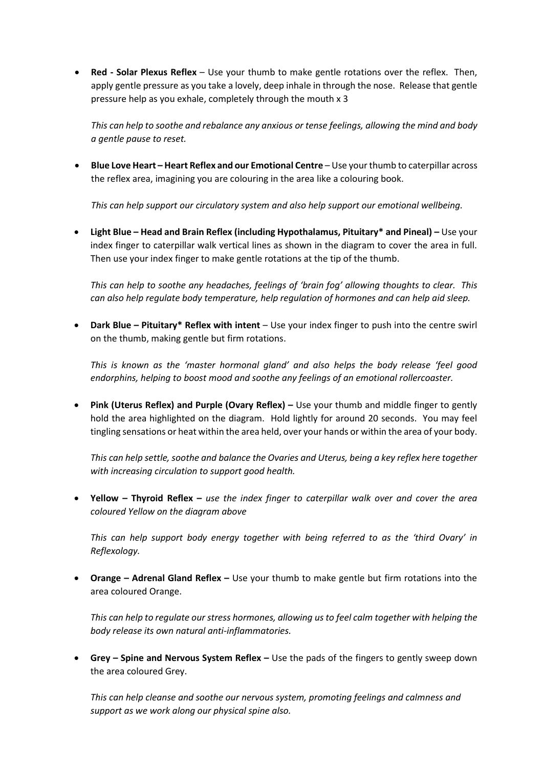• **Red - Solar Plexus Reflex** – Use your thumb to make gentle rotations over the reflex. Then, apply gentle pressure as you take a lovely, deep inhale in through the nose. Release that gentle pressure help as you exhale, completely through the mouth x 3

*This can help to soothe and rebalance any anxious or tense feelings, allowing the mind and body a gentle pause to reset.*

• **Blue Love Heart – Heart Reflex and our Emotional Centre** – Use your thumb to caterpillar across the reflex area, imagining you are colouring in the area like a colouring book.

*This can help support our circulatory system and also help support our emotional wellbeing.*

• **Light Blue – Head and Brain Reflex (including Hypothalamus, Pituitary\* and Pineal) –** Use your index finger to caterpillar walk vertical lines as shown in the diagram to cover the area in full. Then use your index finger to make gentle rotations at the tip of the thumb.

*This can help to soothe any headaches, feelings of 'brain fog' allowing thoughts to clear. This can also help regulate body temperature, help regulation of hormones and can help aid sleep.*

• **Dark Blue – Pituitary\* Reflex with intent** – Use your index finger to push into the centre swirl on the thumb, making gentle but firm rotations.

*This is known as the 'master hormonal gland' and also helps the body release 'feel good endorphins, helping to boost mood and soothe any feelings of an emotional rollercoaster.*

• **Pink (Uterus Reflex) and Purple (Ovary Reflex) –** Use your thumb and middle finger to gently hold the area highlighted on the diagram. Hold lightly for around 20 seconds. You may feel tingling sensations or heat within the area held, over your hands or within the area of your body.

*This can help settle, soothe and balance the Ovaries and Uterus, being a key reflex here together with increasing circulation to support good health.*

• **Yellow – Thyroid Reflex –** *use the index finger to caterpillar walk over and cover the area coloured Yellow on the diagram above*

*This can help support body energy together with being referred to as the 'third Ovary' in Reflexology.* 

• **Orange – Adrenal Gland Reflex –** Use your thumb to make gentle but firm rotations into the area coloured Orange.

*This can help to regulate our stress hormones, allowing us to feel calm together with helping the body release its own natural anti-inflammatories.* 

• **Grey – Spine and Nervous System Reflex –** Use the pads of the fingers to gently sweep down the area coloured Grey.

*This can help cleanse and soothe our nervous system, promoting feelings and calmness and support as we work along our physical spine also.*